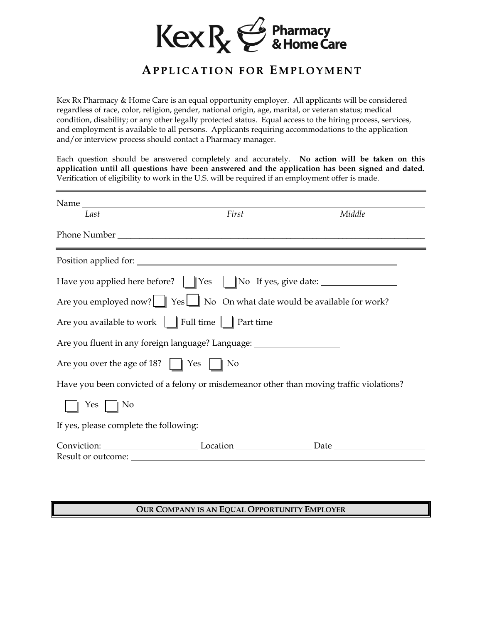

# **APPLICATION FOR EM P L O Y M E N T**

Kex Rx Pharmacy & Home Care is an equal opportunity employer. All applicants will be considered regardless of race, color, religion, gender, national origin, age, marital, or veteran status; medical condition, disability; or any other legally protected status. Equal access to the hiring process, services, and employment is available to all persons. Applicants requiring accommodations to the application and/or interview process should contact a Pharmacy manager.

Each question should be answered completely and accurately. **No action will be taken on this application until all questions have been answered and the application has been signed and dated.** Verification of eligibility to work in the U.S. will be required if an employment offer is made.

| Last                                                                                     | First | Middle |  |  |
|------------------------------------------------------------------------------------------|-------|--------|--|--|
|                                                                                          |       |        |  |  |
|                                                                                          |       |        |  |  |
| Have you applied here before?       Yes       No If yes, give date: ____________         |       |        |  |  |
| Are you employed now? $\Box$ Yes $\Box$ No On what date would be available for work?     |       |        |  |  |
| Are you available to work   Full time   Part time                                        |       |        |  |  |
| Are you fluent in any foreign language? Language: ______________________________         |       |        |  |  |
| Are you over the age of 18? $\parallel$ Yes $\parallel$ No                               |       |        |  |  |
| Have you been convicted of a felony or misdemeanor other than moving traffic violations? |       |        |  |  |
| Yes $\parallel$ No                                                                       |       |        |  |  |
| If yes, please complete the following:                                                   |       |        |  |  |
|                                                                                          |       |        |  |  |
|                                                                                          |       |        |  |  |

#### **OUR COMPANY IS AN EQUAL OPPORTUNITY EMPLOYER**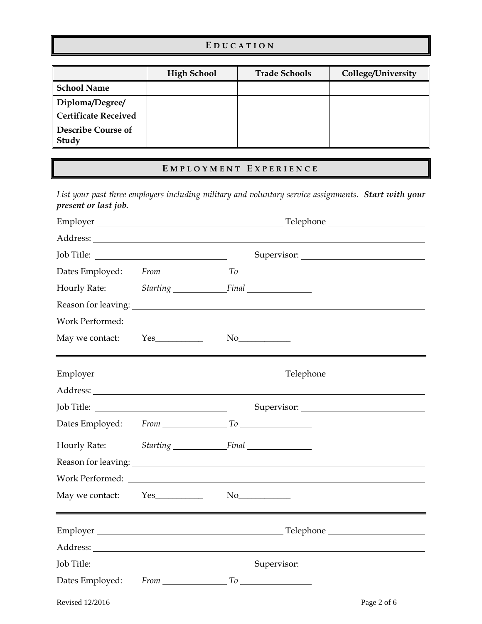#### **E D U C A T I O N**

|                             | <b>High School</b> | <b>Trade Schools</b> | College/University |
|-----------------------------|--------------------|----------------------|--------------------|
| School Name                 |                    |                      |                    |
| Diploma/Degree/             |                    |                      |                    |
| Certificate Received        |                    |                      |                    |
| Describe Course of<br>Study |                    |                      |                    |

### **E M P L O Y M E N T E X P E R I E N C E**

*List your past three employers including military and voluntary service assignments. Start with your present or last job.* 

|                     | Employer<br>Telephone <b>Example</b> 2014                                                                                                                                                                                      |             |  |
|---------------------|--------------------------------------------------------------------------------------------------------------------------------------------------------------------------------------------------------------------------------|-------------|--|
|                     |                                                                                                                                                                                                                                |             |  |
|                     |                                                                                                                                                                                                                                |             |  |
|                     |                                                                                                                                                                                                                                |             |  |
|                     | Hourly Rate: Starting Final                                                                                                                                                                                                    |             |  |
|                     |                                                                                                                                                                                                                                |             |  |
|                     |                                                                                                                                                                                                                                |             |  |
| May we contact: Yes | $\mathrm{No}$                                                                                                                                                                                                                  |             |  |
|                     |                                                                                                                                                                                                                                |             |  |
|                     |                                                                                                                                                                                                                                |             |  |
|                     |                                                                                                                                                                                                                                |             |  |
|                     |                                                                                                                                                                                                                                |             |  |
|                     | Hourly Rate: Starting Final                                                                                                                                                                                                    |             |  |
|                     | Reason for leaving: 1992. The same state of the state of the state of the state of the state of the state of the state of the state of the state of the state of the state of the state of the state of the state of the state |             |  |
|                     |                                                                                                                                                                                                                                |             |  |
| May we contact: Yes | $\mathrm{No}$                                                                                                                                                                                                                  |             |  |
|                     | Employer Telephone Telephone Communication of the Communication of the Communication of the Communication of the Communication of the Communication of the Communication of the Communication of the Communication of the Comm |             |  |
|                     |                                                                                                                                                                                                                                |             |  |
|                     |                                                                                                                                                                                                                                |             |  |
|                     | Dates Employed: From To                                                                                                                                                                                                        |             |  |
| Revised 12/2016     |                                                                                                                                                                                                                                | Page 2 of 6 |  |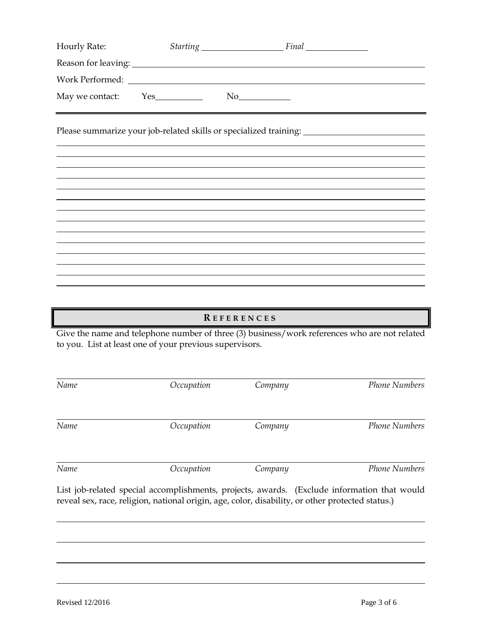| Hourly Rate:    |  | Starting Final                                                                                       |  |
|-----------------|--|------------------------------------------------------------------------------------------------------|--|
|                 |  |                                                                                                      |  |
| Work Performed: |  |                                                                                                      |  |
|                 |  |                                                                                                      |  |
|                 |  | Please summarize your job-related skills or specialized training: __________________________________ |  |
|                 |  |                                                                                                      |  |
|                 |  |                                                                                                      |  |
|                 |  |                                                                                                      |  |
|                 |  |                                                                                                      |  |
|                 |  |                                                                                                      |  |
|                 |  |                                                                                                      |  |
|                 |  |                                                                                                      |  |
|                 |  |                                                                                                      |  |
|                 |  |                                                                                                      |  |
|                 |  |                                                                                                      |  |

# **R E F E R E N C E S**

Give the name and telephone number of three (3) business/work references who are not related to you. List at least one of your previous supervisors.

| Name | Occupation                                                                                                                                                                                      | Company | <b>Phone Numbers</b> |
|------|-------------------------------------------------------------------------------------------------------------------------------------------------------------------------------------------------|---------|----------------------|
| Name | Occupation                                                                                                                                                                                      | Company | <b>Phone Numbers</b> |
|      |                                                                                                                                                                                                 |         |                      |
| Name | Occupation                                                                                                                                                                                      | Company | <b>Phone Numbers</b> |
|      | List job-related special accomplishments, projects, awards. (Exclude information that would<br>reveal sex, race, religion, national origin, age, color, disability, or other protected status.) |         |                      |
|      |                                                                                                                                                                                                 |         |                      |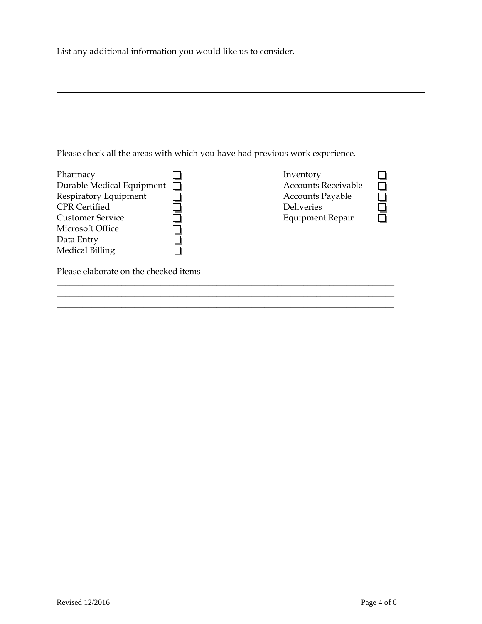List any additional information you would like us to consider.

| Please check all the areas with which you have had previous work experience.                                                                        |                                                                                                                    |
|-----------------------------------------------------------------------------------------------------------------------------------------------------|--------------------------------------------------------------------------------------------------------------------|
| Pharmacy<br>Durable Medical Equipment<br>Respiratory Equipment<br><b>CPR</b> Certified<br><b>Customer Service</b><br>Microsoft Office<br>Data Entry | Inventory<br><b>Accounts Receivable</b><br><b>Accounts Payable</b><br><b>Deliveries</b><br><b>Equipment Repair</b> |

\_\_\_\_\_\_\_\_\_\_\_\_\_\_\_\_\_\_\_\_\_\_\_\_\_\_\_\_\_\_\_\_\_\_\_\_\_\_\_\_\_\_\_\_\_\_\_\_\_\_\_\_\_\_\_\_\_\_\_\_\_\_\_\_\_\_\_\_\_\_\_\_\_\_\_\_\_\_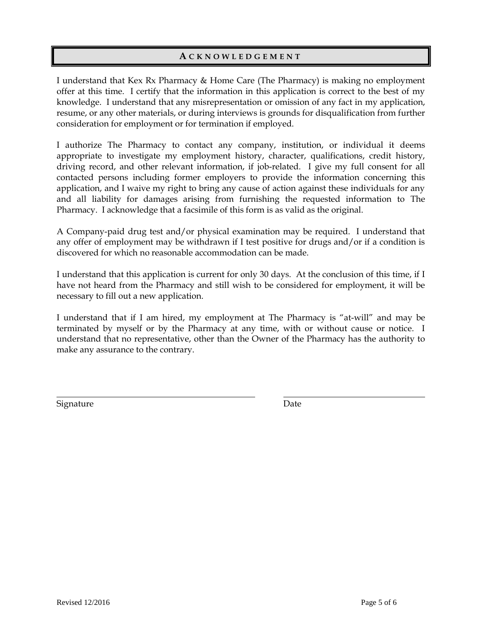### **A C K N O W L E D G E M E N T**

I understand that Kex Rx Pharmacy & Home Care (The Pharmacy) is making no employment offer at this time. I certify that the information in this application is correct to the best of my knowledge. I understand that any misrepresentation or omission of any fact in my application, resume, or any other materials, or during interviews is grounds for disqualification from further consideration for employment or for termination if employed.

I authorize The Pharmacy to contact any company, institution, or individual it deems appropriate to investigate my employment history, character, qualifications, credit history, driving record, and other relevant information, if job-related. I give my full consent for all contacted persons including former employers to provide the information concerning this application, and I waive my right to bring any cause of action against these individuals for any and all liability for damages arising from furnishing the requested information to The Pharmacy. I acknowledge that a facsimile of this form is as valid as the original.

A Company-paid drug test and/or physical examination may be required. I understand that any offer of employment may be withdrawn if I test positive for drugs and/or if a condition is discovered for which no reasonable accommodation can be made.

I understand that this application is current for only 30 days. At the conclusion of this time, if I have not heard from the Pharmacy and still wish to be considered for employment, it will be necessary to fill out a new application.

I understand that if I am hired, my employment at The Pharmacy is "at-will" and may be terminated by myself or by the Pharmacy at any time, with or without cause or notice. I understand that no representative, other than the Owner of the Pharmacy has the authority to make any assurance to the contrary.

Signature Date